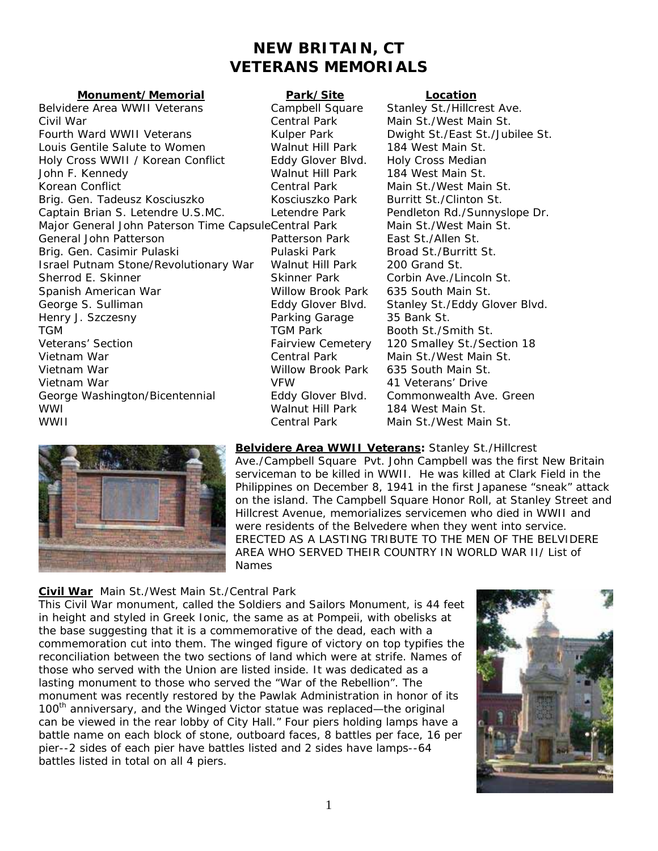# **NEW BRITAIN, CT VETERANS MEMORIALS**

#### **Monument/Memorial Park/Site Location**

Belvidere Area WWII Veterans Campbell Square Stanley St./Hillcrest Ave. Civil War Central Park Main St./West Main St. Fourth Ward WWII Veterans **Kulper Park** Dwight St./East St./Jubilee St. Louis Gentile Salute to Women Walnut Hill Park 184 West Main St. Holy Cross WWII / Korean Conflict Eddy Glover Blvd. Holy Cross Median John F. Kennedy Walnut Hill Park 184 West Main St. Korean Conflict Central Park Main St./West Main St. Brig. Gen. Tadeusz Kosciuszko Kosciuszko Park Burritt St./Clinton St. Captain Brian S. Letendre U.S.MC. Letendre Park Pendleton Rd./Sunnyslope Dr. Major General John Paterson Time Capsule Central Park Main St./West Main St. General John Patterson Patterson Park East St./Allen St. Brig. Gen. Casimir Pulaski **Pulaski Pulaski Park Broad St./Burritt St.** Israel Putnam Stone/Revolutionary War Walnut Hill Park 200 Grand St. Sherrod E. Skinner Skinner Skinner Park Corbin Ave./Lincoln St. Spanish American War Willow Brook Park 635 South Main St. George S. Sulliman **Eddy Glover Blvd.** Stanley St./Eddy Glover Blvd. Henry J. Szczesny Parking Garage 35 Bank St. TGM TGM Park Booth St./Smith St. Veterans' Section Fairview Cemetery 120 Smalley St./Section 18 Vietnam War Central Park Main St./West Main St. Vietnam War Willow Brook Park 635 South Main St. Vietnam War VFW 41 Veterans' Drive George Washington/Bicentennial Eddy Glover Blvd. Commonwealth Ave. Green WWI Walnut Hill Park 184 West Main St. WWII Central Park Main St./West Main St.



**Belvidere Area WWII Veterans:** Stanley St./Hillcrest Ave./Campbell Square Pvt. John Campbell was the first New Britain serviceman to be killed in WWII. He was killed at Clark Field in t he Philippines on December 8, 1941 in the first Japanese "sneak" attack on the island. The Campbell Square Honor Roll, at Stanley Street and Hillcrest Avenue, memorializes servicemen who died in WWII a nd were residents of the Belvedere when they went into service. ERECTED AS A LASTING TRIBUTE TO THE MEN OF THE BELVIDE RE AREA WHO SERVED THEIR COUNTRY IN WORLD WAR II/ Lis t of Names

## **Civil War** Main St./West Main St./Central Park

This Civil War monument, called the Soldiers and Sailors Monument, is 44 fee t in height and styled in Greek Ionic, the same as at Pompeii, with obelisks at the base suggesting that it is a commemorative of the dead, each with a commemoration cut into them. The winged figure of victory on top typifies the reconciliation between the two sections of land which were at strife. Names of those who served with the Union are listed inside. It was dedicated as a lasting monument to those who served the "War of the Rebellion". The monument was recently restored by the Pawlak Administration in honor of it s 100<sup>th</sup> anniversary, and the Winged Victor statue was replaced—the original battle name on each block of stone, outboard faces, 8 battles per face, 16 per pier--2 sides of each pier have battles listed and 2 sides have lamps--64 battles listed in total on all 4 piers. can be viewed in the rear lobby of City Hall." Four piers holding lamps have a

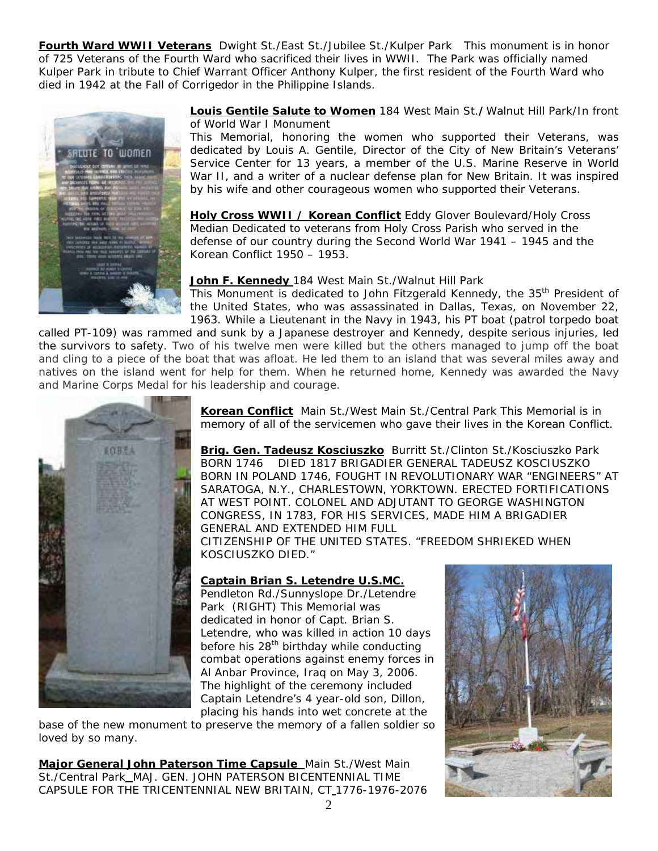**Fourth Ward WWII Veterans** Dwight St./East St./Jubilee St./Kulper Park This monument is in honor of 725 Veterans of the Fourth Ward who sacrificed their lives in WWII. The Park was officially named Kulper Park in tribute to Chief Warrant Officer Anthony Kulper, the first resident of the Fourth Ward who died in 1942 at the Fall of Corrigedor in the Philippine Islands.



**Louis Gentile Salute to Women** 184 West Main St.**/**Walnut Hill Park/In front of World War I Monument

This Memorial, honoring the women who supported their Veterans, was dedicated by Louis A. Gentile, Director of the City of New Britain's Veterans' Service Center for 13 years, a member of the U.S. Marine Reserve in World War II, and a writer of a nuclear defense plan for New Britain. It was inspired by his wife and other courageous women who supported their Veterans.

**Holy Cross WWII / Korean Conflict** Eddy Glover Boulevard/Holy Cross Median Dedicated to veterans from Holy Cross Parish who served in the defense of our country during the Second World War 1941 – 1945 and the Korean Conflict 1950 – 1953.

### **John F. Kennedy** 184 West Main St./Walnut Hill Park

This Monument is dedicated to John Fitzgerald Kennedy, the 35<sup>th</sup> President of the United States, who was assassinated in Dallas, Texas, on November 22, 1963. While a Lieutenant in the Navy in 1943, his PT boat (patrol torpedo boat

called PT-109) was rammed and sunk by a Japanese destroyer and Kennedy, despite serious injuries, led the survivors to safety. Two of his twelve men were killed but the others managed to jump off the boat and cling to a piece of the boat that was afloat. He led them to an island that was several miles away and natives on the island went for help for them. When he returned home, Kennedy was awarded the Navy and Marine Corps Medal for his leadership and courage.



**Korean Conflict** Main St./West Main St./Central Park This Memorial is in memory of all of the servicemen who gave their lives in the Korean Conflict.

**Brig. Gen. Tadeusz Kosciuszko** Burritt St./Clinton St./Kosciuszko Park BORN 1746 DIED 1817 BRIGADIER GENERAL TADEUSZ KOSCIUSZKO BORN IN POLAND 1746, FOUGHT IN REVOLUTIONARY WAR "ENGINEERS" AT SARATOGA, N.Y., CHARLESTOWN, YORKTOWN. ERECTED FORTIFICATIONS AT WEST POINT. COLONEL AND ADJUTANT TO GEORGE WASHINGTON CONGRESS, IN 1783, FOR HIS SERVICES, MADE HIM A BRIGADIER GENERAL AND EXTENDED HIM FULL

CITIZENSHIP OF THE UNITED STATES. "FREEDOM SHRIEKED WHEN KOSCIUSZKO DIED."

## **Captain Brian S. Letendre U.S.MC.**

Pendleton Rd./Sunnyslope Dr./Letendre Park (RIGHT) This Memorial was dedicated in honor of Capt. Brian S. Letendre, who was killed in action 10 days before his 28<sup>th</sup> birthday while conducting combat operations against enemy forces in Al Anbar Province, Iraq on May 3, 2006. The highlight of the ceremony included Captain Letendre's 4 year-old son, Dillon, placing his hands into wet concrete at the

base of the new monument to preserve the memory of a fallen soldier so loved by so many.

**Major General John Paterson Time Capsule** Main St./West Main St./Central Park\_MAJ. GEN. JOHN PATERSON BICENTENNIAL TIME CAPSULE FOR THE TRICENTENNIAL NEW BRITAIN, CT 1776-1976-2076

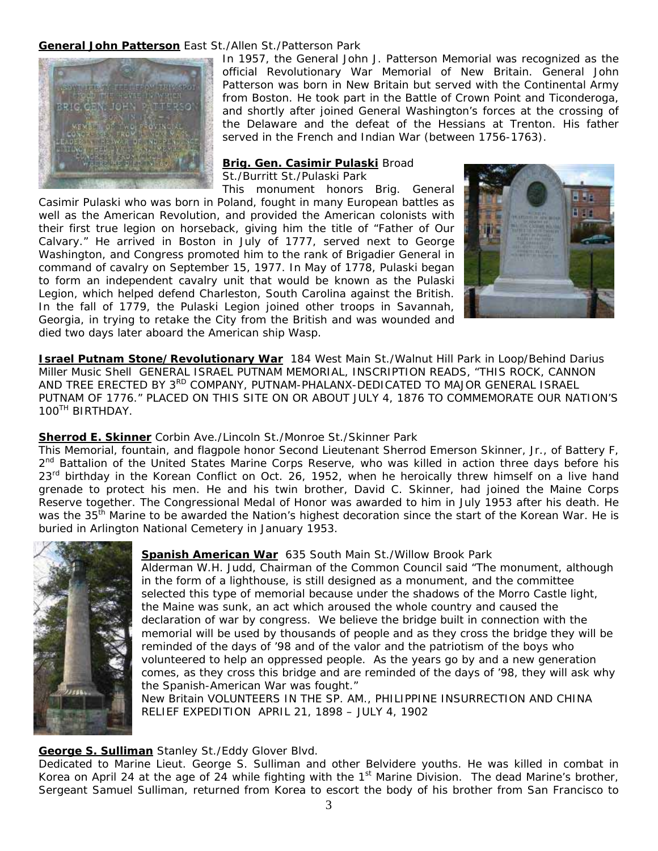### **General John Patterson** East St./Allen St./Patterson Park



In 1957, the General John J. Patterson Memorial was recognized as the official Revolutionary War Memorial of New Britain. General John Patterson was born in New Britain but served with the Continental Army from Boston. He took part in the Battle of Crown Point and Ticonderoga, and shortly after joined General Washington's forces at the crossing of the Delaware and the defeat of the Hessians at Trenton. His father served in the French and Indian War (between 1756-1763).

#### **Brig. Gen. Casimir Pulaski** Broad

St./Burritt St./Pulaski Park

Georgia, in trying to retake the City from the British and was wounded and died two days later aboard the American ship *Wasp.* This monument honors Brig. General Casimir Pulaski who was born in Poland, fought in many European battles as well as the American Revolution, and provided the American colonists with their first true legion on horseback, giving him the title of "Father of Our Calvary." He arrived in Boston in July of 1777, served next to George Washington, and Congress promoted him to the rank of Brigadier General in command of cavalry on September 15, 1977. In May of 1778, Pulaski began to form an independent cavalry unit that would be known as the Pulaski Legion, which helped defend Charleston, South Carolina against the British. In the fall of 1779, the Pulaski Legion joined other troops in Savannah,



**Israel Putnam Stone/Revolutionary War** 184 West Main St./Walnut Hill Park in Loop/Behind Darius Miller Music Shell GENERAL ISRAEL PUTNAM MEMORIAL, INSCRIPTION READS, "THIS ROCK, CANNO N AND TREE ERECTED BY 3<sup>RD</sup> COMPANY, PUTNAM-PHALANX-DEDICATED TO MAJOR GENERAL ISRAEL PUTNAM OF 1776." PLACED ON THIS SITE ON OR ABOUT JULY 4, 1876 TO COMMEMORATE OUR NATION'S 100TH BIRTHDAY.

#### **Sherrod E. Skinner** Corbin Ave./Lincoln St./Monroe St./Skinner Park

This Memorial, fountain, and flagpole honor Second Lieutenant Sherrod Emerson Skinner, Jr., of Battery F, 2<sup>nd</sup> Battalion of the United States Marine Corps Reserve, who was killed in action three days before his  $23<sup>rd</sup>$  birthday in the Korean Conflict on Oct. 26, 1952, when he heroically threw himself on a live hand grenade to protect his men. He and his twin brother, David C. Skinner, had joined the Maine Corps Reserve together. The Congressional Medal of Honor was awarded to him in July 1953 after his death. He was the 35<sup>th</sup> Marine to be awarded the Nation's highest decoration since the start of the Korean War. He is buried in Arlington National Cemetery in January 1953.



#### **Spanish American War** 635 South Main St./Willow Brook Park

Alderman W.H. Judd, Chairman of the Common Council said "The monument, alt hough in the form of a lighthouse, is still designed as a monument, and the committee selected this type of memorial because under the shadows of the Morro Castle light, the Maine was sunk, an act which aroused the whole country and caused the declaration of war by congress. We believe the bridge built in connection with the memorial will be used by thousands of people and as they cross the bridge they will be reminded of the days of '98 and of the valor and the patriotism of the boys who volunteered to help an oppressed people. As the years go by and a new generation comes, as they cross this bridge and are reminded of the days of '98, they will ask why the Spanish-American War was fought."

New Britain VOLUNTEERS IN THE SP. AM., PHILIPPINE INSURRECTION AND CHINA RELIEF EXPEDITION APRIL 21, 1898 – JULY 4, 1902

## **George S. Sulliman** Stanley St./Eddy Glover Blvd.

Dedicated to Marine Lieut. George S. Sulliman and other Belvidere youths. He was killed in combat in Korea on April 24 at the age of 24 while fighting with the  $1<sup>st</sup>$  Marine Division. The dead Marine's brother, Sergeant Samuel Sulliman, returned from Korea to escort the body of his brother from San Francisco to